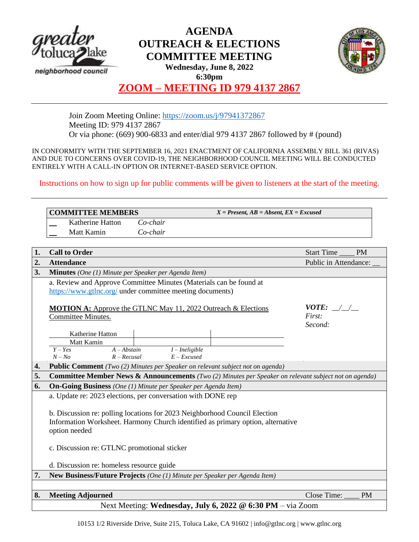

# **AGENDA OUTREACH & ELECTIONS COMMITTEE MEETING**



**Wednesday, June 8, 2022 6:30pm**

## **ZOOM – MEETING ID 979 4137 2867**

Join Zoom Meeting Online:<https://zoom.us/j/97941372867> Meeting ID: 979 4137 2867 Or via phone: (669) 900-6833 and enter/dial 979 4137 2867 followed by # (pound)

IN CONFORMITY WITH THE SEPTEMBER 16, 2021 ENACTMENT OF CALIFORNIA ASSEMBLY BILL 361 (RIVAS) AND DUE TO CONCERNS OVER COVID-19, THE NEIGHBORHOOD COUNCIL MEETING WILL BE CONDUCTED ENTIRELY WITH A CALL-IN OPTION OR INTERNET-BASED SERVICE OPTION.

Instructions on how to sign up for public comments will be given to listeners at the start of the meeting.

| <b>COMMITTEE MEMBERS</b>                                                                                               |                                                            |                  | $X = Present, AB = Absent, EX = Excused$ |                                                                      |                                |  |
|------------------------------------------------------------------------------------------------------------------------|------------------------------------------------------------|------------------|------------------------------------------|----------------------------------------------------------------------|--------------------------------|--|
|                                                                                                                        | Katherine Hatton                                           | $Co$ -chair      |                                          |                                                                      |                                |  |
| Matt Kamin                                                                                                             |                                                            | Co-chair         |                                          |                                                                      |                                |  |
|                                                                                                                        |                                                            |                  |                                          |                                                                      |                                |  |
| <b>Call to Order</b><br>1.                                                                                             |                                                            |                  |                                          |                                                                      | <b>PM</b><br><b>Start Time</b> |  |
| 2.<br><b>Attendance</b>                                                                                                |                                                            |                  |                                          |                                                                      | Public in Attendance:          |  |
| 3.<br><b>Minutes</b> (One (1) Minute per Speaker per Agenda Item)                                                      |                                                            |                  |                                          |                                                                      |                                |  |
| a. Review and Approve Committee Minutes (Materials can be found at                                                     |                                                            |                  |                                          |                                                                      |                                |  |
| https://www.gtlnc.org/ under committee meeting documents)                                                              |                                                            |                  |                                          |                                                                      |                                |  |
|                                                                                                                        |                                                            |                  |                                          |                                                                      |                                |  |
|                                                                                                                        |                                                            |                  |                                          | <b>MOTION A:</b> Approve the GTLNC May 11, 2022 Outreach & Elections | <i>VOTE:</i> / /               |  |
| Committee Minutes.                                                                                                     |                                                            |                  |                                          |                                                                      | First:<br>Second:              |  |
|                                                                                                                        | Katherine Hatton                                           |                  |                                          |                                                                      |                                |  |
| Matt Kamin                                                                                                             |                                                            |                  |                                          |                                                                      |                                |  |
| $Y - Yes$                                                                                                              | $A - Abstain$                                              | $I$ – Ineligible |                                          |                                                                      |                                |  |
| $N - No$                                                                                                               | $R - Recusal$                                              | $E - Excused$    |                                          |                                                                      |                                |  |
| <b>Public Comment</b> (Two (2) Minutes per Speaker on relevant subject not on agenda)<br>4.                            |                                                            |                  |                                          |                                                                      |                                |  |
| <b>Committee Member News &amp; Announcements</b> (Two (2) Minutes per Speaker on relevant subject not on agenda)<br>5. |                                                            |                  |                                          |                                                                      |                                |  |
| 6.<br><b>On-Going Business</b> (One (1) Minute per Speaker per Agenda Item)                                            |                                                            |                  |                                          |                                                                      |                                |  |
| a. Update re: 2023 elections, per conversation with DONE rep                                                           |                                                            |                  |                                          |                                                                      |                                |  |
|                                                                                                                        |                                                            |                  |                                          |                                                                      |                                |  |
| b. Discussion re: polling locations for 2023 Neighborhood Council Election                                             |                                                            |                  |                                          |                                                                      |                                |  |
| Information Worksheet. Harmony Church identified as primary option, alternative                                        |                                                            |                  |                                          |                                                                      |                                |  |
| option needed                                                                                                          |                                                            |                  |                                          |                                                                      |                                |  |
| c. Discussion re: GTLNC promotional sticker                                                                            |                                                            |                  |                                          |                                                                      |                                |  |
|                                                                                                                        |                                                            |                  |                                          |                                                                      |                                |  |
| d. Discussion re: homeless resource guide                                                                              |                                                            |                  |                                          |                                                                      |                                |  |
| 7.<br>New Business/Future Projects (One (1) Minute per Speaker per Agenda Item)                                        |                                                            |                  |                                          |                                                                      |                                |  |
|                                                                                                                        |                                                            |                  |                                          |                                                                      |                                |  |
| 8.<br><b>Meeting Adjourned</b>                                                                                         |                                                            |                  |                                          |                                                                      | Close Time:<br><b>PM</b>       |  |
|                                                                                                                        | Next Meeting: Wednesday, July 6, 2022 @ 6:30 PM - via Zoom |                  |                                          |                                                                      |                                |  |